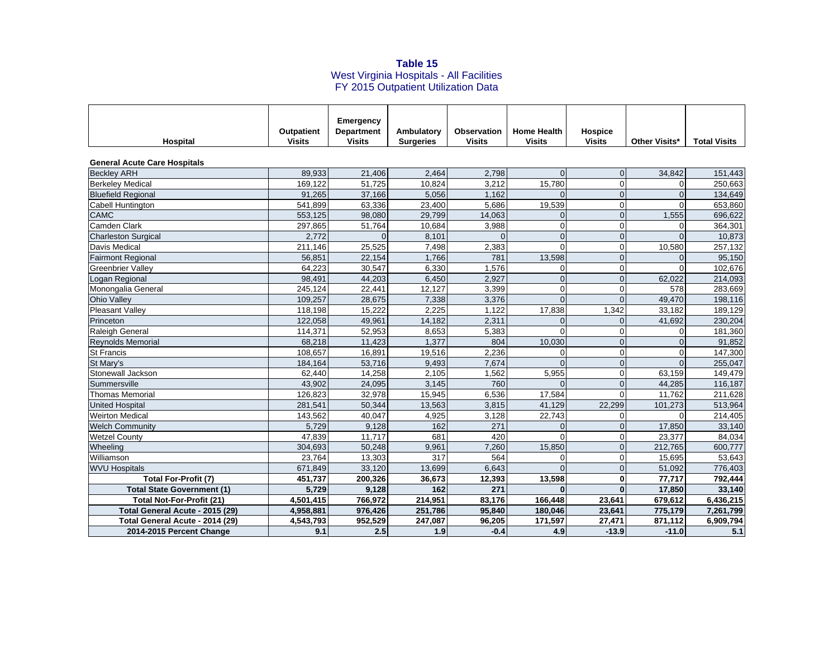## **Table 15**<br>West Virginia Hospitals - All Facilities FY 2015 Outpatient Utilization Data

|                                     | <b>Outpatient</b> | Emergency<br><b>Department</b> | Ambulatory       | <b>Observation</b> | <b>Home Health</b> | <b>Hospice</b> |                      |                     |
|-------------------------------------|-------------------|--------------------------------|------------------|--------------------|--------------------|----------------|----------------------|---------------------|
| Hospital                            | <b>Visits</b>     | <b>Visits</b>                  | <b>Surgeries</b> | <b>Visits</b>      | <b>Visits</b>      | <b>Visits</b>  | <b>Other Visits*</b> | <b>Total Visits</b> |
|                                     |                   |                                |                  |                    |                    |                |                      |                     |
| <b>General Acute Care Hospitals</b> |                   |                                |                  |                    |                    |                |                      |                     |
| <b>Beckley ARH</b>                  | 89,933            | 21,406                         | 2,464            | 2,798              | $\Omega$           | $\overline{0}$ | 34,842               | 151,443             |
| <b>Berkeley Medical</b>             | 169.122           | 51.725                         | 10,824           | 3,212              | 15,780             | $\Omega$       | $\Omega$             | 250,663             |
| <b>Bluefield Regional</b>           | 91.265            | 37,166                         | 5,056            | 1,162              |                    | $\overline{0}$ | $\Omega$             | 134,649             |
| Cabell Huntington                   | 541,899           | 63,336                         | 23,400           | 5,686              | 19,539             | $\mathbf 0$    | $\Omega$             | 653,860             |
| <b>CAMC</b>                         | 553,125           | 98,080                         | 29,799           | 14,063             |                    | $\overline{0}$ | 1,555                | 696,622             |
| Camden Clark                        | 297,865           | 51,764                         | 10,684           | 3,988              | $\Omega$           | $\mathbf 0$    | 0                    | 364,301             |
| <b>Charleston Surgical</b>          | 2,772             | $\Omega$                       | 8,101            | $\Omega$           | $\Omega$           | $\overline{0}$ | $\Omega$             | 10,873              |
| Davis Medical                       | 211.146           | 25.525                         | 7,498            | 2,383              | $\Omega$           | $\Omega$       | 10.580               | 257,132             |
| <b>Fairmont Regional</b>            | 56,851            | 22,154                         | 1,766            | 781                | 13,598             | $\Omega$       | $\Omega$             | 95,150              |
| <b>Greenbrier Valley</b>            | 64,223            | 30,547                         | 6,330            | 1,576              | $\Omega$           | $\mathbf 0$    | U                    | 102,676             |
| Logan Regional                      | 98,491            | 44,203                         | 6,450            | 2,927              | $\Omega$           | $\overline{0}$ | 62,022               | 214,093             |
| Monongalia General                  | 245,124           | 22,441                         | 12,127           | 3,399              | $\Omega$           | $\Omega$       | 578                  | 283,669             |
| <b>Ohio Valley</b>                  | 109,257           | 28,675                         | 7,338            | 3,376              | $\Omega$           | $\Omega$       | 49,470               | 198,116             |
| <b>Pleasant Valley</b>              | 118.198           | 15.222                         | 2.225            | 1.122              | 17,838             | 1,342          | 33,182               | 189.129             |
| Princeton                           | 122,058           | 49,961                         | 14,182           | 2,311              | $\Omega$           | $\mathbf{0}$   | 41,692               | 230,204             |
| <b>Raleigh General</b>              | 114,371           | 52,953                         | 8,653            | 5,383              | $\Omega$           | $\mathbf 0$    | $\Omega$             | 181,360             |
| Reynolds Memorial                   | 68,218            | 11,423                         | 1.377            | 804                | 10,030             | $\Omega$       | $\Omega$             | 91,852              |
| <b>St Francis</b>                   | 108,657           | 16,891                         | 19,516           | 2,236              | ∩                  | $\mathbf 0$    | 0                    | 147,300             |
| St Mary's                           | 184,164           | 53,716                         | 9,493            | 7,674              | $\Omega$           | $\overline{0}$ | $\Omega$             | 255,047             |
| Stonewall Jackson                   | 62,440            | 14,258                         | 2,105            | 1,562              | 5,955              | $\mathbf 0$    | 63,159               | 149,479             |
| Summersville                        | 43,902            | 24,095                         | 3,145            | 760                | ∩                  | $\mathbf{0}$   | 44,285               | 116,187             |
| <b>Thomas Memorial</b>              | 126,823           | 32,978                         | 15,945           | 6,536              | 17,584             | $\Omega$       | 11,762               | 211,628             |
| <b>United Hospital</b>              | 281.541           | 50.344                         | 13,563           | 3,815              | 41,129             | 22.299         | 101.273              | 513,964             |
| <b>Weirton Medical</b>              | 143,562           | 40,047                         | 4,925            | 3,128              | 22,743             | $\mathbf 0$    | $\Omega$             | 214,405             |
| <b>Welch Community</b>              | 5,729             | 9,128                          | 162              | 271                | $\Omega$           | $\overline{0}$ | 17,850               | 33,140              |
| <b>Wetzel County</b>                | 47,839            | 11.717                         | 681              | 420                | $\Omega$           | $\Omega$       | 23,377               | 84,034              |
| Wheeling                            | 304,693           | 50,248                         | 9,961            | 7,260              | 15,850             | $\Omega$       | 212,765              | 600,777             |
| Williamson                          | 23.764            | 13,303                         | 317              | 564                | ∩                  | $\mathbf 0$    | 15,695               | 53,643              |
| <b>WVU Hospitals</b>                | 671,849           | 33,120                         | 13,699           | 6,643              | $\Omega$           | $\overline{0}$ | 51,092               | 776,403             |
| Total For-Profit (7)                | 451,737           | 200,326                        | 36,673           | 12,393             | 13,598             | 0              | 77,717               | 792,444             |
| <b>Total State Government (1)</b>   | 5,729             | 9,128                          | 162              | 271                |                    | $\mathbf{0}$   | 17,850               | 33,140              |
| <b>Total Not-For-Profit (21)</b>    | 4,501,415         | 766,972                        | 214,951          | 83,176             | 166,448            | 23,641         | 679,612              | 6,436,215           |
| Total General Acute - 2015 (29)     | 4,958,881         | 976,426                        | 251,786          | 95,840             | 180,046            | 23,641         | 775,179              | 7,261,799           |
| Total General Acute - 2014 (29)     | 4,543,793         | 952,529                        | 247,087          | 96,205             | 171,597            | 27,471         | 871,112              | 6,909,794           |
| 2014-2015 Percent Change            | 9.1               | 2.5                            | 1.9              | $-0.4$             | 4.9                | $-13.9$        | $-11.0$              | 5.1                 |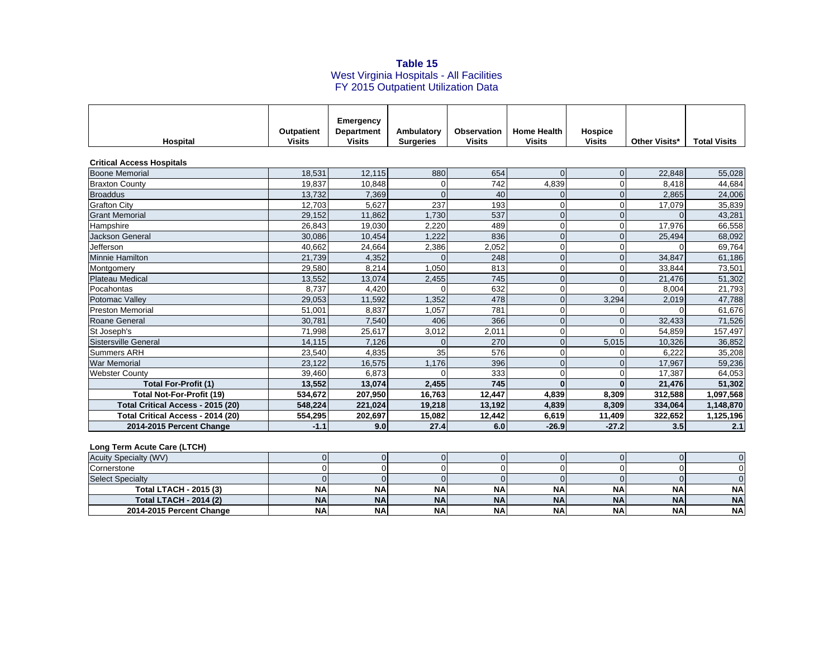## **Table 15**<br>West Virginia Hospitals - All Facilities FY 2015 Outpatient Utilization Data

|                                   |                                    | Emergency                          |                                |                                     |                                     |                                 |               |                     |
|-----------------------------------|------------------------------------|------------------------------------|--------------------------------|-------------------------------------|-------------------------------------|---------------------------------|---------------|---------------------|
| Hospital                          | <b>Outpatient</b><br><b>Visits</b> | <b>Department</b><br><b>Visits</b> | Ambulatory<br><b>Surgeries</b> | <b>Observation</b><br><b>Visits</b> | <b>Home Health</b><br><b>Visits</b> | <b>Hospice</b><br><b>Visits</b> | Other Visits* | <b>Total Visits</b> |
|                                   |                                    |                                    |                                |                                     |                                     |                                 |               |                     |
| <b>Critical Access Hospitals</b>  |                                    |                                    |                                |                                     |                                     |                                 |               |                     |
| <b>Boone Memorial</b>             | 18,531                             | 12,115                             | 880                            | 654                                 | $\Omega$                            | $\Omega$                        | 22,848        | 55,028              |
| <b>Braxton County</b>             | 19.837                             | 10,848                             | 0                              | 742                                 | 4,839                               | $\Omega$                        | 8.418         | 44,684              |
| <b>Broaddus</b>                   | 13,732                             | 7,369                              | $\Omega$                       | 40                                  |                                     | $\Omega$                        | 2,865         | 24,006              |
| <b>Grafton City</b>               | 12.703                             | 5,627                              | 237                            | 193                                 | $\Omega$                            | $\Omega$                        | 17,079        | 35,839              |
| <b>Grant Memorial</b>             | 29,152                             | 11,862                             | 1,730                          | 537                                 | $\Omega$                            | $\Omega$                        |               | 43,281              |
| Hampshire                         | 26,843                             | 19,030                             | 2,220                          | 489                                 | $\Omega$                            | $\Omega$                        | 17,976        | 66,558              |
| <b>Jackson General</b>            | 30,086                             | 10,454                             | 1.222                          | 836                                 | $\Omega$                            | $\Omega$                        | 25,494        | 68,092              |
| Jefferson                         | 40.662                             | 24,664                             | 2,386                          | 2,052                               | $\Omega$                            | $\Omega$                        | $\Omega$      | 69,764              |
| <b>Minnie Hamilton</b>            | 21,739                             | 4,352                              |                                | 248                                 | $\Omega$                            | $\Omega$                        | 34,847        | 61,186              |
| Montgomery                        | 29,580                             | 8,214                              | 1,050                          | 813                                 | $\Omega$                            | $\Omega$                        | 33.844        | 73,501              |
| <b>Plateau Medical</b>            | 13,552                             | 13,074                             | 2,455                          | 745                                 |                                     | $\Omega$                        | 21,476        | 51,302              |
| Pocahontas                        | 8,737                              | 4,420                              | 0                              | 632                                 | $\Omega$                            | $\Omega$                        | 8,004         | 21,793              |
| Potomac Valley                    | 29,053                             | 11,592                             | 1,352                          | 478                                 | $\Omega$                            | 3,294                           | 2,019         | 47,788              |
| Preston Memorial                  | 51,001                             | 8,837                              | 1,057                          | 781                                 | $\Omega$                            |                                 | $\Omega$      | 61,676              |
| Roane General                     | 30.781                             | 7,540                              | 406                            | 366                                 | $\Omega$                            | $\Omega$                        | 32,433        | 71,526              |
| St Joseph's                       | 71,998                             | 25,617                             | 3,012                          | 2,011                               | 0                                   | $\Omega$                        | 54.859        | 157,497             |
| Sistersville General              | 14,115                             | 7,126                              | $\Omega$                       | 270                                 | $\Omega$                            | 5,015                           | 10,326        | 36,852              |
| <b>Summers ARH</b>                | 23,540                             | 4,835                              | 35                             | 576                                 |                                     |                                 | 6,222         | 35,208              |
| <b>War Memorial</b>               | 23.122                             | 16,575                             | 1,176                          | 396                                 | $\Omega$                            | $\Omega$                        | 17,967        | 59,236              |
| <b>Webster County</b>             | 39,460                             | 6,873                              |                                | 333                                 | $\Omega$                            | $\Omega$                        | 17,387        | 64,053              |
| <b>Total For-Profit (1)</b>       | 13,552                             | 13,074                             | 2,455                          | 745                                 | $\Omega$                            | $\Omega$                        | 21,476        | 51,302              |
| <b>Total Not-For-Profit (19)</b>  | 534.672                            | 207,950                            | 16,763                         | 12,447                              | 4,839                               | 8.309                           | 312,588       | 1,097,568           |
| Total Critical Access - 2015 (20) | 548.224                            | 221.024                            | 19,218                         | 13,192                              | 4,839                               | 8,309                           | 334,064       | 1,148,870           |
| Total Critical Access - 2014 (20) | 554,295                            | 202,697                            | 15,082                         | 12,442                              | 6,619                               | 11,409                          | 322,652       | 1,125,196           |
| 2014-2015 Percent Change          | $-1.1$                             | 9.0                                | 27.4                           | 6.0                                 | $-26.9$                             | $-27.2$                         | 3.5           | 2.1                 |

## **Long Term Acute Care (LTCH)**

| <b>Acuity Specialty (WV)</b>  |           |           |           |           |           |           |            |           |
|-------------------------------|-----------|-----------|-----------|-----------|-----------|-----------|------------|-----------|
| Cornerstone                   |           |           |           |           |           |           |            |           |
| <b>Select Specialty</b>       |           |           |           |           |           |           |            |           |
| <b>Total LTACH - 2015 (3)</b> | <b>NA</b> | <b>NA</b> | ΝA        | <b>NA</b> | <b>NA</b> | <b>NA</b> | <b>NA</b>  | <b>NA</b> |
| <b>Total LTACH - 2014 (2)</b> | <b>NA</b> | <b>NA</b> | <b>NA</b> | <b>NA</b> | <b>NA</b> | NA.       | <b>NA</b>  | <b>NA</b> |
| 2014-2015 Percent Change      | <b>NA</b> | <b>NA</b> | <b>NA</b> | <b>NA</b> | <b>NA</b> | NA        | <b>NAI</b> | <b>NA</b> |